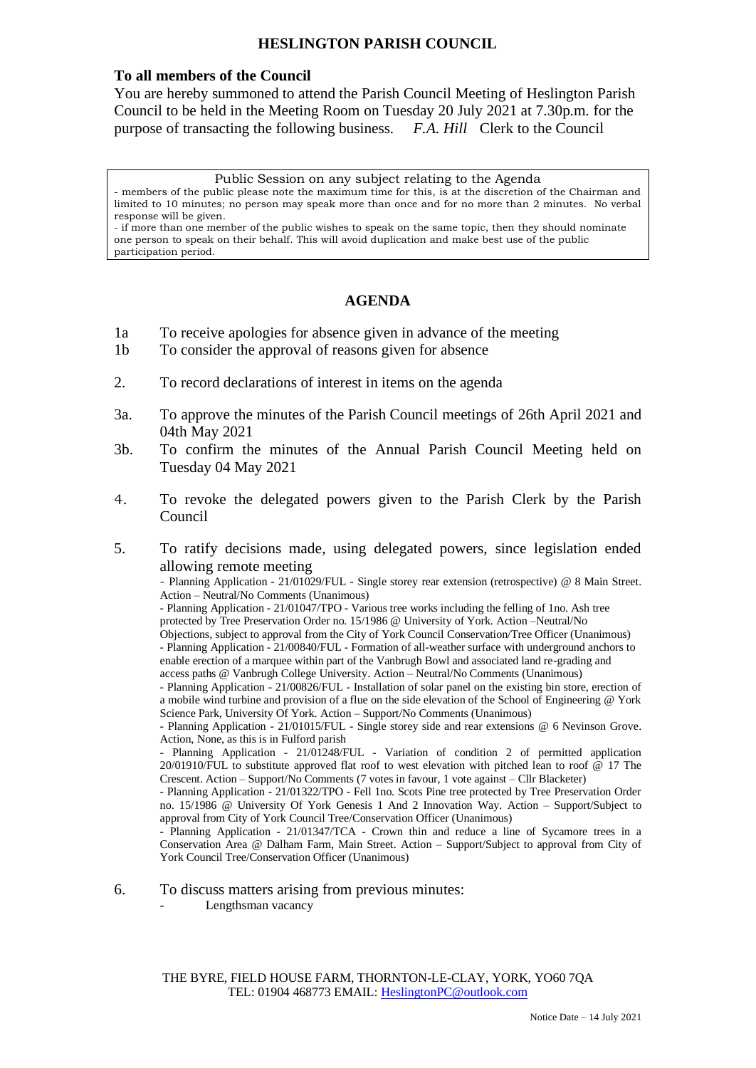## **HESLINGTON PARISH COUNCIL**

### **To all members of the Council**

You are hereby summoned to attend the Parish Council Meeting of Heslington Parish Council to be held in the Meeting Room on Tuesday 20 July 2021 at 7.30p.m. for the purpose of transacting the following business. *F.A. Hill* Clerk to the Council

Public Session on any subject relating to the Agenda

- members of the public please note the maximum time for this, is at the discretion of the Chairman and limited to 10 minutes; no person may speak more than once and for no more than 2 minutes. No verbal response will be given.

- if more than one member of the public wishes to speak on the same topic, then they should nominate one person to speak on their behalf. This will avoid duplication and make best use of the public participation period.

# **AGENDA**

- 1a To receive apologies for absence given in advance of the meeting
- 1b To consider the approval of reasons given for absence
- 2. To record declarations of interest in items on the agenda
- 3a. To approve the minutes of the Parish Council meetings of 26th April 2021 and 04th May 2021
- 3b. To confirm the minutes of the Annual Parish Council Meeting held on Tuesday 04 May 2021
- 4. To revoke the delegated powers given to the Parish Clerk by the Parish Council
- 5. To ratify decisions made, using delegated powers, since legislation ended allowing remote meeting

- Planning Application - 21/01029/FUL - Single storey rear extension (retrospective) @ 8 Main Street. Action – Neutral/No Comments (Unanimous)

- Planning Application - 21/01047/TPO - Various tree works including the felling of 1no. Ash tree protected by Tree Preservation Order no. 15/1986 @ University of York. Action –Neutral/No

Objections, subject to approval from the City of York Council Conservation/Tree Officer (Unanimous) - Planning Application - 21/00840/FUL - Formation of all-weather surface with underground anchors to

enable erection of a marquee within part of the Vanbrugh Bowl and associated land re-grading and

access paths @ Vanbrugh College University. Action – Neutral/No Comments (Unanimous)

- Planning Application - 21/00826/FUL - Installation of solar panel on the existing bin store, erection of a mobile wind turbine and provision of a flue on the side elevation of the School of Engineering @ York Science Park, University Of York. Action – Support/No Comments (Unanimous)

- Planning Application - 21/01015/FUL - Single storey side and rear extensions @ 6 Nevinson Grove. Action, None, as this is in Fulford parish

- Planning Application - 21/01248/FUL - Variation of condition 2 of permitted application 20/01910/FUL to substitute approved flat roof to west elevation with pitched lean to roof @ 17 The Crescent. Action – Support/No Comments (7 votes in favour, 1 vote against – Cllr Blacketer)

- Planning Application - 21/01322/TPO - Fell 1no. Scots Pine tree protected by Tree Preservation Order no. 15/1986 @ University Of York Genesis 1 And 2 Innovation Way. Action – Support/Subject to approval from City of York Council Tree/Conservation Officer (Unanimous)

- Planning Application - 21/01347/TCA - Crown thin and reduce a line of Sycamore trees in a Conservation Area @ Dalham Farm, Main Street. Action – Support/Subject to approval from City of York Council Tree/Conservation Officer (Unanimous)

### 6. To discuss matters arising from previous minutes:

Lengthsman vacancy

THE BYRE, FIELD HOUSE FARM, THORNTON-LE-CLAY, YORK, YO60 7QA TEL: 01904 468773 EMAIL: [HeslingtonPC@outlook.com](mailto:HeslingtonPC@outlook.com)